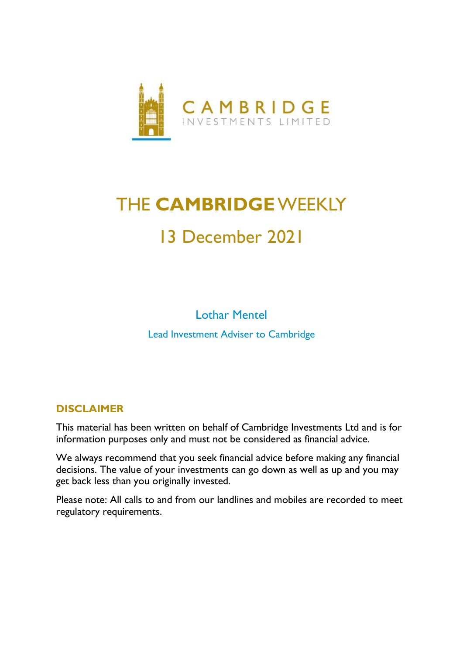

# THE **CAMBRIDGE**WEEKLY 13 December 2021

Lothar Mentel Lead Investment Adviser to Cambridge

## **DISCLAIMER**

This material has been written on behalf of Cambridge Investments Ltd and is for information purposes only and must not be considered as financial advice.

We always recommend that you seek financial advice before making any financial decisions. The value of your investments can go down as well as up and you may get back less than you originally invested.

Please note: All calls to and from our landlines and mobiles are recorded to meet regulatory requirements.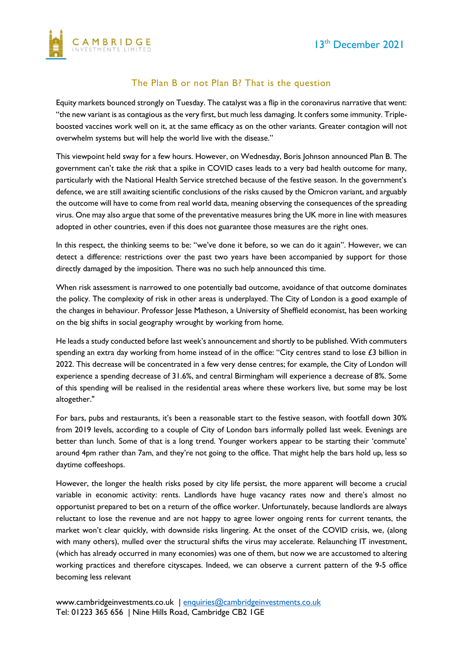

### The Plan B or not Plan B? That is the question

Equity markets bounced strongly on Tuesday. The catalyst was a flip in the coronavirus narrative that went: "the new variant is as contagious as the very first, but much less damaging. It confers some immunity. Tripleboosted vaccines work well on it, at the same efficacy as on the other variants. Greater contagion will not overwhelm systems but will help the world live with the disease."

This viewpoint held sway for a few hours. However, on Wednesday, Boris Johnson announced Plan B. The government can't take *the risk* that a spike in COVID cases leads to a very bad health outcome for many, particularly with the National Health Service stretched because of the festive season. In the government's defence, we are still awaiting scientific conclusions of the risks caused by the Omicron variant, and arguably the outcome will have to come from real world data, meaning observing the consequences of the spreading virus. One may also argue that some of the preventative measures bring the UK more in line with measures adopted in other countries, even if this does not guarantee those measures are the right ones.

In this respect, the thinking seems to be: "we've done it before, so we can do it again". However, we can detect a difference: restrictions over the past two years have been accompanied by support for those directly damaged by the imposition. There was no such help announced this time.

When risk assessment is narrowed to one potentially bad outcome, avoidance of that outcome dominates the policy. The complexity of risk in other areas is underplayed. The City of London is a good example of the changes in behaviour. Professor Jesse Matheson, a University of Sheffield economist, has been working on the big shifts in social geography wrought by working from home.

He leads a study conducted before last week's announcement and shortly to be published. With commuters spending an extra day working from home instead of in the office: "City centres stand to lose £3 billion in 2022. This decrease will be concentrated in a few very dense centres; for example, the City of London will experience a spending decrease of 31.6%, and central Birmingham will experience a decrease of 8%. Some of this spending will be realised in the residential areas where these workers live, but some may be lost altogether."

For bars, pubs and restaurants, it's been a reasonable start to the festive season, with footfall down 30% from 2019 levels, according to a couple of City of London bars informally polled last week. Evenings are better than lunch. Some of that is a long trend. Younger workers appear to be starting their 'commute' around 4pm rather than 7am, and they're not going to the office. That might help the bars hold up, less so daytime coffeeshops.

However, the longer the health risks posed by city life persist, the more apparent will become a crucial variable in economic activity: rents. Landlords have huge vacancy rates now and there's almost no opportunist prepared to bet on a return of the office worker. Unfortunately, because landlords are always reluctant to lose the revenue and are not happy to agree lower ongoing rents for current tenants, the market won't clear quickly, with downside risks lingering. At the onset of the COVID crisis, we, (along with many others), mulled over the structural shifts the virus may accelerate. Relaunching IT investment, (which has already occurred in many economies) was one of them, but now we are accustomed to altering working practices and therefore cityscapes. Indeed, we can observe a current pattern of the 9-5 office becoming less relevant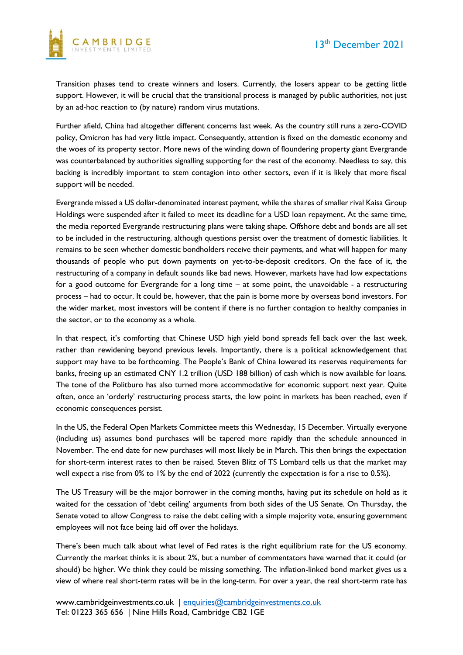

Transition phases tend to create winners and losers. Currently, the losers appear to be getting little support. However, it will be crucial that the transitional process is managed by public authorities, not just by an ad-hoc reaction to (by nature) random virus mutations.

Further afield, China had altogether different concerns last week. As the country still runs a zero-COVID policy, Omicron has had very little impact. Consequently, attention is fixed on the domestic economy and the woes of its property sector. More news of the winding down of floundering property giant Evergrande was counterbalanced by authorities signalling supporting for the rest of the economy. Needless to say, this backing is incredibly important to stem contagion into other sectors, even if it is likely that more fiscal support will be needed.

Evergrande missed a US dollar-denominated interest payment, while the shares of smaller rival Kaisa Group Holdings were suspended after it failed to meet its deadline for a USD loan repayment. At the same time, the media reported Evergrande restructuring plans were taking shape. Offshore debt and bonds are all set to be included in the restructuring, although questions persist over the treatment of domestic liabilities. It remains to be seen whether domestic bondholders receive their payments, and what will happen for many thousands of people who put down payments on yet-to-be-deposit creditors. On the face of it, the restructuring of a company in default sounds like bad news. However, markets have had low expectations for a good outcome for Evergrande for a long time – at some point, the unavoidable - a restructuring process – had to occur. It could be, however, that the pain is borne more by overseas bond investors. For the wider market, most investors will be content if there is no further contagion to healthy companies in the sector, or to the economy as a whole.

In that respect, it's comforting that Chinese USD high yield bond spreads fell back over the last week, rather than rewidening beyond previous levels. Importantly, there is a political acknowledgement that support may have to be forthcoming. The People's Bank of China lowered its reserves requirements for banks, freeing up an estimated CNY 1.2 trillion (USD 188 billion) of cash which is now available for loans. The tone of the Politburo has also turned more accommodative for economic support next year. Quite often, once an 'orderly' restructuring process starts, the low point in markets has been reached, even if economic consequences persist.

In the US, the Federal Open Markets Committee meets this Wednesday, 15 December. Virtually everyone (including us) assumes bond purchases will be tapered more rapidly than the schedule announced in November. The end date for new purchases will most likely be in March. This then brings the expectation for short-term interest rates to then be raised. Steven Blitz of TS Lombard tells us that the market may well expect a rise from 0% to 1% by the end of 2022 (currently the expectation is for a rise to 0.5%).

The US Treasury will be the major borrower in the coming months, having put its schedule on hold as it waited for the cessation of 'debt ceiling' arguments from both sides of the US Senate. On Thursday, the Senate voted to allow Congress to raise the debt ceiling with a simple majority vote, ensuring government employees will not face being laid off over the holidays.

There's been much talk about what level of Fed rates is the right equilibrium rate for the US economy. Currently the market thinks it is about 2%, but a number of commentators have warned that it could (or should) be higher. We think they could be missing something. The inflation-linked bond market gives us a view of where real short-term rates will be in the long-term. For over a year, the real short-term rate has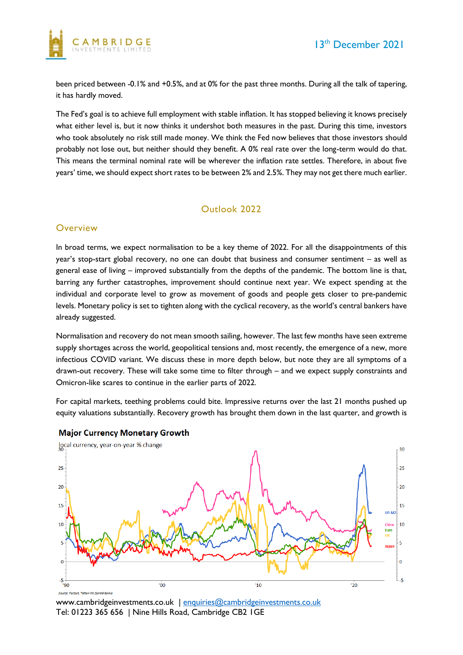

been priced between -0.1% and +0.5%, and at 0% for the past three months. During all the talk of tapering, it has hardly moved.

The Fed's goal is to achieve full employment with stable inflation. It has stopped believing it knows precisely what either level is, but it now thinks it undershot both measures in the past. During this time, investors who took absolutely no risk still made money. We think the Fed now believes that those investors should probably not lose out, but neither should they benefit. A 0% real rate over the long-term would do that. This means the terminal nominal rate will be wherever the inflation rate settles. Therefore, in about five years' time, we should expect short rates to be between 2% and 2.5%. They may not get there much earlier.

## Outlook 2022

#### **Overview**

In broad terms, we expect normalisation to be a key theme of 2022. For all the disappointments of this year's stop-start global recovery, no one can doubt that business and consumer sentiment – as well as general ease of living – improved substantially from the depths of the pandemic. The bottom line is that, barring any further catastrophes, improvement should continue next year. We expect spending at the individual and corporate level to grow as movement of goods and people gets closer to pre-pandemic levels. Monetary policy is set to tighten along with the cyclical recovery, as the world's central bankers have already suggested.

Normalisation and recovery do not mean smooth sailing, however. The last few months have seen extreme supply shortages across the world, geopolitical tensions and, most recently, the emergence of a new, more infectious COVID variant. We discuss these in more depth below, but note they are all symptoms of a drawn-out recovery. These will take some time to filter through – and we expect supply constraints and Omicron-like scares to continue in the earlier parts of 2022.

For capital markets, teething problems could bite. Impressive returns over the last 21 months pushed up equity valuations substantially. Recovery growth has brought them down in the last quarter, and growth is



#### **Major Currency Monetary Growth**

www.cambridgeinvestments.co.uk | [enquiries@cambridgeinvestments.co.uk](mailto:enquiries@cambridgeinvestments.co.uk) Tel: 01223 365 656 | Nine Hills Road, Cambridge CB2 1GE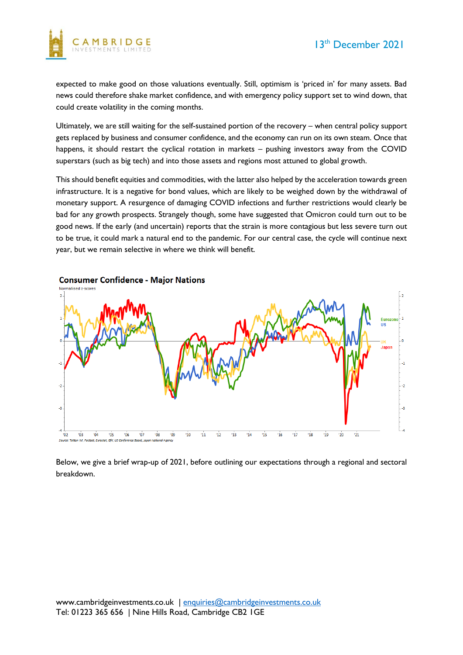

expected to make good on those valuations eventually. Still, optimism is 'priced in' for many assets. Bad news could therefore shake market confidence, and with emergency policy support set to wind down, that could create volatility in the coming months.

Ultimately, we are still waiting for the self-sustained portion of the recovery – when central policy support gets replaced by business and consumer confidence, and the economy can run on its own steam. Once that happens, it should restart the cyclical rotation in markets – pushing investors away from the COVID superstars (such as big tech) and into those assets and regions most attuned to global growth.

This should benefit equities and commodities, with the latter also helped by the acceleration towards green infrastructure. It is a negative for bond values, which are likely to be weighed down by the withdrawal of monetary support. A resurgence of damaging COVID infections and further restrictions would clearly be bad for any growth prospects. Strangely though, some have suggested that Omicron could turn out to be good news. If the early (and uncertain) reports that the strain is more contagious but less severe turn out to be true, it could mark a natural end to the pandemic. For our central case, the cycle will continue next year, but we remain selective in where we think will benefit.



Below, we give a brief wrap-up of 2021, before outlining our expectations through a regional and sectoral breakdown.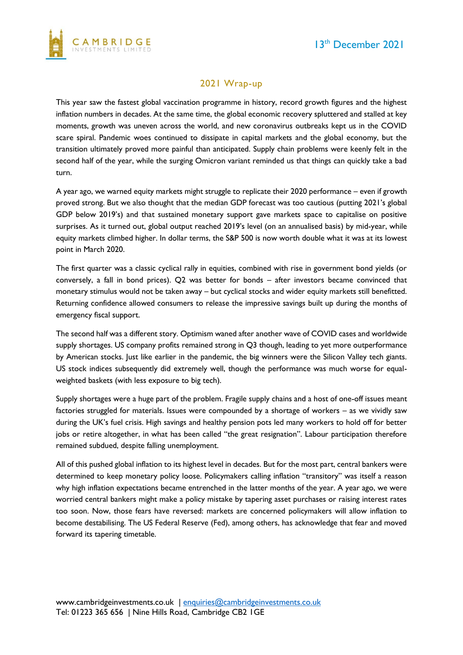

## 2021 Wrap-up

This year saw the fastest global vaccination programme in history, record growth figures and the highest inflation numbers in decades. At the same time, the global economic recovery spluttered and stalled at key moments, growth was uneven across the world, and new coronavirus outbreaks kept us in the COVID scare spiral. Pandemic woes continued to dissipate in capital markets and the global economy, but the transition ultimately proved more painful than anticipated. Supply chain problems were keenly felt in the second half of the year, while the surging Omicron variant reminded us that things can quickly take a bad turn.

A year ago, we warned equity markets might struggle to replicate their 2020 performance – even if growth proved strong. But we also thought that the median GDP forecast was too cautious (putting 2021's global GDP below 2019's) and that sustained monetary support gave markets space to capitalise on positive surprises. As it turned out, global output reached 2019's level (on an annualised basis) by mid-year, while equity markets climbed higher. In dollar terms, the S&P 500 is now worth double what it was at its lowest point in March 2020.

The first quarter was a classic cyclical rally in equities, combined with rise in government bond yields (or conversely, a fall in bond prices). Q2 was better for bonds – after investors became convinced that monetary stimulus would not be taken away – but cyclical stocks and wider equity markets still benefitted. Returning confidence allowed consumers to release the impressive savings built up during the months of emergency fiscal support.

The second half was a different story. Optimism waned after another wave of COVID cases and worldwide supply shortages. US company profits remained strong in Q3 though, leading to yet more outperformance by American stocks. Just like earlier in the pandemic, the big winners were the Silicon Valley tech giants. US stock indices subsequently did extremely well, though the performance was much worse for equalweighted baskets (with less exposure to big tech).

Supply shortages were a huge part of the problem. Fragile supply chains and a host of one-off issues meant factories struggled for materials. Issues were compounded by a shortage of workers – as we vividly saw during the UK's fuel crisis. High savings and healthy pension pots led many workers to hold off for better jobs or retire altogether, in what has been called "the great resignation". Labour participation therefore remained subdued, despite falling unemployment.

All of this pushed global inflation to its highest level in decades. But for the most part, central bankers were determined to keep monetary policy loose. Policymakers calling inflation "transitory" was itself a reason why high inflation expectations became entrenched in the latter months of the year. A year ago, we were worried central bankers might make a policy mistake by tapering asset purchases or raising interest rates too soon. Now, those fears have reversed: markets are concerned policymakers will allow inflation to become destabilising. The US Federal Reserve (Fed), among others, has acknowledge that fear and moved forward its tapering timetable.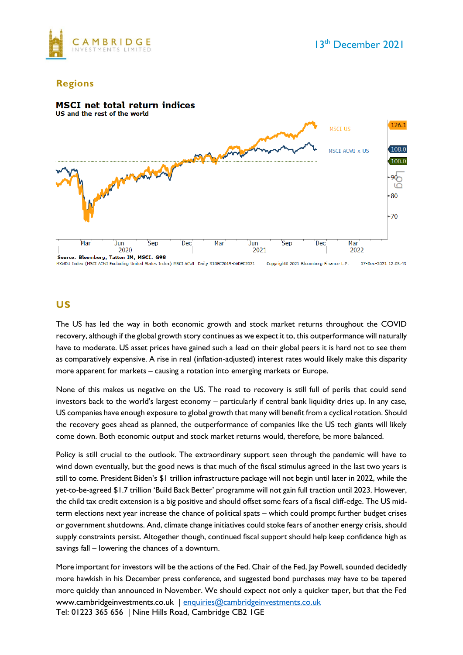

#### **Regions**



## **US**

The US has led the way in both economic growth and stock market returns throughout the COVID recovery, although if the global growth story continues as we expect it to, this outperformance will naturally have to moderate. US asset prices have gained such a lead on their global peers it is hard not to see them as comparatively expensive. A rise in real (inflation-adjusted) interest rates would likely make this disparity more apparent for markets – causing a rotation into emerging markets or Europe.

None of this makes us negative on the US. The road to recovery is still full of perils that could send investors back to the world's largest economy – particularly if central bank liquidity dries up. In any case, US companies have enough exposure to global growth that many will benefit from a cyclical rotation. Should the recovery goes ahead as planned, the outperformance of companies like the US tech giants will likely come down. Both economic output and stock market returns would, therefore, be more balanced.

Policy is still crucial to the outlook. The extraordinary support seen through the pandemic will have to wind down eventually, but the good news is that much of the fiscal stimulus agreed in the last two years is still to come. President Biden's \$1 trillion infrastructure package will not begin until later in 2022, while the yet-to-be-agreed \$1.7 trillion 'Build Back Better' programme will not gain full traction until 2023. However, the child tax credit extension is a big positive and should offset some fears of a fiscal cliff-edge. The US midterm elections next year increase the chance of political spats – which could prompt further budget crises or government shutdowns. And, climate change initiatives could stoke fears of another energy crisis, should supply constraints persist. Altogether though, continued fiscal support should help keep confidence high as savings fall – lowering the chances of a downturn.

www.cambridgeinvestments.co.uk | [enquiries@cambridgeinvestments.co.uk](mailto:enquiries@cambridgeinvestments.co.uk) Tel: 01223 365 656 | Nine Hills Road, Cambridge CB2 1GE More important for investors will be the actions of the Fed. Chair of the Fed, Jay Powell, sounded decidedly more hawkish in his December press conference, and suggested bond purchases may have to be tapered more quickly than announced in November. We should expect not only a quicker taper, but that the Fed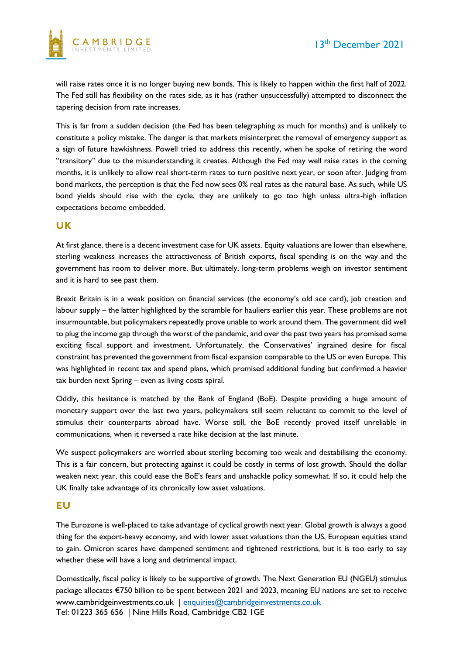

will raise rates once it is no longer buying new bonds. This is likely to happen within the first half of 2022. The Fed still has flexibility on the rates side, as it has (rather unsuccessfully) attempted to disconnect the tapering decision from rate increases.

This is far from a sudden decision (the Fed has been telegraphing as much for months) and is unlikely to constitute a policy mistake. The danger is that markets misinterpret the removal of emergency support as a sign of future hawkishness. Powell tried to address this recently, when he spoke of retiring the word "transitory" due to the misunderstanding it creates. Although the Fed may well raise rates in the coming months, it is unlikely to allow real short-term rates to turn positive next year, or soon after. Judging from bond markets, the perception is that the Fed now sees 0% real rates as the natural base. As such, while US bond yields should rise with the cycle, they are unlikely to go too high unless ultra-high inflation expectations become embedded.

#### **UK**

At first glance, there is a decent investment case for UK assets. Equity valuations are lower than elsewhere, sterling weakness increases the attractiveness of British exports, fiscal spending is on the way and the government has room to deliver more. But ultimately, long-term problems weigh on investor sentiment and it is hard to see past them.

Brexit Britain is in a weak position on financial services (the economy's old ace card), job creation and labour supply – the latter highlighted by the scramble for hauliers earlier this year. These problems are not insurmountable, but policymakers repeatedly prove unable to work around them. The government did well to plug the income gap through the worst of the pandemic, and over the past two years has promised some exciting fiscal support and investment. Unfortunately, the Conservatives' ingrained desire for fiscal constraint has prevented the government from fiscal expansion comparable to the US or even Europe. This was highlighted in recent tax and spend plans, which promised additional funding but confirmed a heavier tax burden next Spring – even as living costs spiral.

Oddly, this hesitance is matched by the Bank of England (BoE). Despite providing a huge amount of monetary support over the last two years, policymakers still seem reluctant to commit to the level of stimulus their counterparts abroad have. Worse still, the BoE recently proved itself unreliable in communications, when it reversed a rate hike decision at the last minute.

We suspect policymakers are worried about sterling becoming too weak and destabilising the economy. This is a fair concern, but protecting against it could be costly in terms of lost growth. Should the dollar weaken next year, this could ease the BoE's fears and unshackle policy somewhat. If so, it could help the UK finally take advantage of its chronically low asset valuations.

#### **EU**

The Eurozone is well-placed to take advantage of cyclical growth next year. Global growth is always a good thing for the export-heavy economy, and with lower asset valuations than the US, European equities stand to gain. Omicron scares have dampened sentiment and tightened restrictions, but it is too early to say whether these will have a long and detrimental impact.

www.cambridgeinvestments.co.uk | [enquiries@cambridgeinvestments.co.uk](mailto:enquiries@cambridgeinvestments.co.uk) Tel: 01223 365 656 | Nine Hills Road, Cambridge CB2 1GE Domestically, fiscal policy is likely to be supportive of growth. The Next Generation EU (NGEU) stimulus package allocates €750 billion to be spent between 2021 and 2023, meaning EU nations are set to receive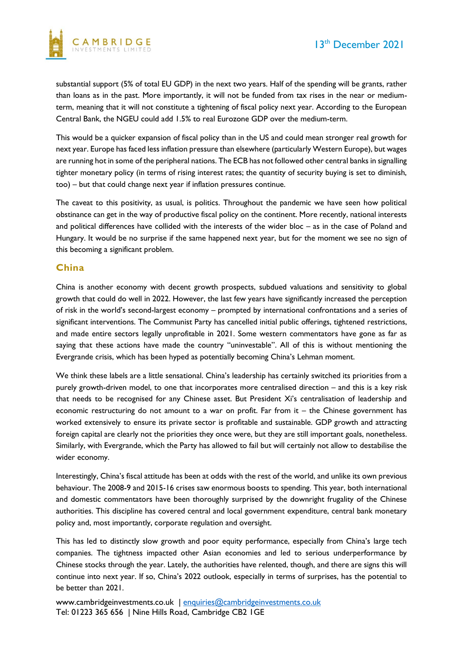

substantial support (5% of total EU GDP) in the next two years. Half of the spending will be grants, rather than loans as in the past. More importantly, it will not be funded from tax rises in the near or mediumterm, meaning that it will not constitute a tightening of fiscal policy next year. According to the European Central Bank, the NGEU could add 1.5% to real Eurozone GDP over the medium-term.

This would be a quicker expansion of fiscal policy than in the US and could mean stronger real growth for next year. Europe has faced less inflation pressure than elsewhere (particularly Western Europe), but wages are running hot in some of the peripheral nations. The ECB has not followed other central banks in signalling tighter monetary policy (in terms of rising interest rates; the quantity of security buying is set to diminish, too) – but that could change next year if inflation pressures continue.

The caveat to this positivity, as usual, is politics. Throughout the pandemic we have seen how political obstinance can get in the way of productive fiscal policy on the continent. More recently, national interests and political differences have collided with the interests of the wider bloc – as in the case of Poland and Hungary. It would be no surprise if the same happened next year, but for the moment we see no sign of this becoming a significant problem.

#### **China**

China is another economy with decent growth prospects, subdued valuations and sensitivity to global growth that could do well in 2022. However, the last few years have significantly increased the perception of risk in the world's second-largest economy – prompted by international confrontations and a series of significant interventions. The Communist Party has cancelled initial public offerings, tightened restrictions, and made entire sectors legally unprofitable in 2021. Some western commentators have gone as far as saying that these actions have made the country "uninvestable". All of this is without mentioning the Evergrande crisis, which has been hyped as potentially becoming China's Lehman moment.

We think these labels are a little sensational. China's leadership has certainly switched its priorities from a purely growth-driven model, to one that incorporates more centralised direction – and this is a key risk that needs to be recognised for any Chinese asset. But President Xi's centralisation of leadership and economic restructuring do not amount to a war on profit. Far from it – the Chinese government has worked extensively to ensure its private sector is profitable and sustainable. GDP growth and attracting foreign capital are clearly not the priorities they once were, but they are still important goals, nonetheless. Similarly, with Evergrande, which the Party has allowed to fail but will certainly not allow to destabilise the wider economy.

Interestingly, China's fiscal attitude has been at odds with the rest of the world, and unlike its own previous behaviour. The 2008-9 and 2015-16 crises saw enormous boosts to spending. This year, both international and domestic commentators have been thoroughly surprised by the downright frugality of the Chinese authorities. This discipline has covered central and local government expenditure, central bank monetary policy and, most importantly, corporate regulation and oversight.

This has led to distinctly slow growth and poor equity performance, especially from China's large tech companies. The tightness impacted other Asian economies and led to serious underperformance by Chinese stocks through the year. Lately, the authorities have relented, though, and there are signs this will continue into next year. If so, China's 2022 outlook, especially in terms of surprises, has the potential to be better than 2021.

www.cambridgeinvestments.co.uk | [enquiries@cambridgeinvestments.co.uk](mailto:enquiries@cambridgeinvestments.co.uk) Tel: 01223 365 656 | Nine Hills Road, Cambridge CB2 1GE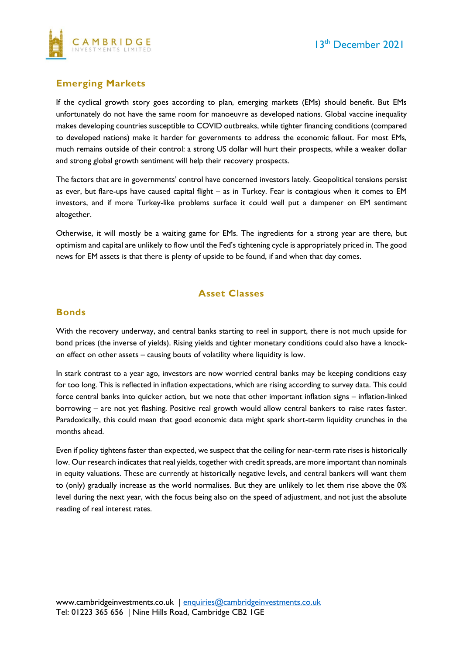

## **Emerging Markets**

If the cyclical growth story goes according to plan, emerging markets (EMs) should benefit. But EMs unfortunately do not have the same room for manoeuvre as developed nations. Global vaccine inequality makes developing countries susceptible to COVID outbreaks, while tighter financing conditions (compared to developed nations) make it harder for governments to address the economic fallout. For most EMs, much remains outside of their control: a strong US dollar will hurt their prospects, while a weaker dollar and strong global growth sentiment will help their recovery prospects.

The factors that are in governments' control have concerned investors lately. Geopolitical tensions persist as ever, but flare-ups have caused capital flight – as in Turkey. Fear is contagious when it comes to EM investors, and if more Turkey-like problems surface it could well put a dampener on EM sentiment altogether.

Otherwise, it will mostly be a waiting game for EMs. The ingredients for a strong year are there, but optimism and capital are unlikely to flow until the Fed's tightening cycle is appropriately priced in. The good news for EM assets is that there is plenty of upside to be found, if and when that day comes.

## **Asset Classes**

#### **Bonds**

With the recovery underway, and central banks starting to reel in support, there is not much upside for bond prices (the inverse of yields). Rising yields and tighter monetary conditions could also have a knockon effect on other assets – causing bouts of volatility where liquidity is low.

In stark contrast to a year ago, investors are now worried central banks may be keeping conditions easy for too long. This is reflected in inflation expectations, which are rising according to survey data. This could force central banks into quicker action, but we note that other important inflation signs – inflation-linked borrowing – are not yet flashing. Positive real growth would allow central bankers to raise rates faster. Paradoxically, this could mean that good economic data might spark short-term liquidity crunches in the months ahead.

Even if policy tightens faster than expected, we suspect that the ceiling for near-term rate rises is historically low. Our research indicates that real yields, together with credit spreads, are more important than nominals in equity valuations. These are currently at historically negative levels, and central bankers will want them to (only) gradually increase as the world normalises. But they are unlikely to let them rise above the 0% level during the next year, with the focus being also on the speed of adjustment, and not just the absolute reading of real interest rates.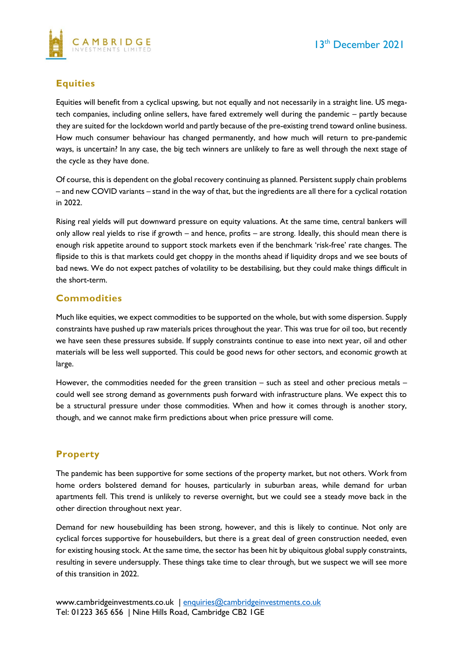

## **Equities**

Equities will benefit from a cyclical upswing, but not equally and not necessarily in a straight line. US megatech companies, including online sellers, have fared extremely well during the pandemic – partly because they are suited for the lockdown world and partly because of the pre-existing trend toward online business. How much consumer behaviour has changed permanently, and how much will return to pre-pandemic ways, is uncertain? In any case, the big tech winners are unlikely to fare as well through the next stage of the cycle as they have done.

Of course, this is dependent on the global recovery continuing as planned. Persistent supply chain problems – and new COVID variants – stand in the way of that, but the ingredients are all there for a cyclical rotation in 2022.

Rising real yields will put downward pressure on equity valuations. At the same time, central bankers will only allow real yields to rise if growth – and hence, profits – are strong. Ideally, this should mean there is enough risk appetite around to support stock markets even if the benchmark 'risk-free' rate changes. The flipside to this is that markets could get choppy in the months ahead if liquidity drops and we see bouts of bad news. We do not expect patches of volatility to be destabilising, but they could make things difficult in the short-term.

## **Commodities**

Much like equities, we expect commodities to be supported on the whole, but with some dispersion. Supply constraints have pushed up raw materials prices throughout the year. This was true for oil too, but recently we have seen these pressures subside. If supply constraints continue to ease into next year, oil and other materials will be less well supported. This could be good news for other sectors, and economic growth at large.

However, the commodities needed for the green transition – such as steel and other precious metals – could well see strong demand as governments push forward with infrastructure plans. We expect this to be a structural pressure under those commodities. When and how it comes through is another story, though, and we cannot make firm predictions about when price pressure will come.

#### **Property**

The pandemic has been supportive for some sections of the property market, but not others. Work from home orders bolstered demand for houses, particularly in suburban areas, while demand for urban apartments fell. This trend is unlikely to reverse overnight, but we could see a steady move back in the other direction throughout next year.

Demand for new housebuilding has been strong, however, and this is likely to continue. Not only are cyclical forces supportive for housebuilders, but there is a great deal of green construction needed, even for existing housing stock. At the same time, the sector has been hit by ubiquitous global supply constraints, resulting in severe undersupply. These things take time to clear through, but we suspect we will see more of this transition in 2022.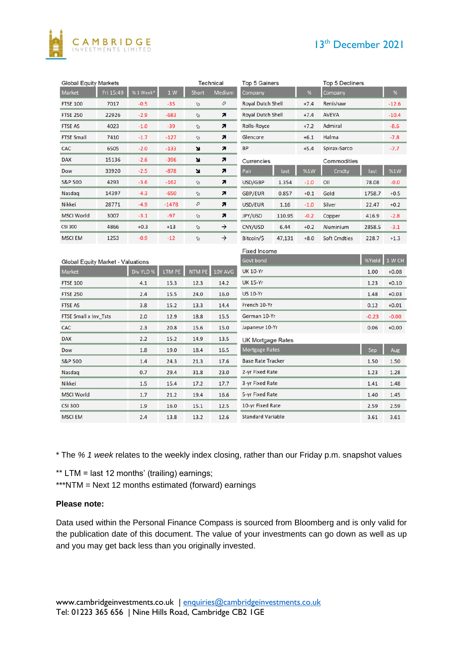# 13<sup>th</sup> December 2021



| <b>Global Equity Markets</b>             |           |           |         | <b>Technical</b> |               | <b>Top 5 Gainers</b>             |        |         | <b>Top 5 Decliners</b> |         |            |
|------------------------------------------|-----------|-----------|---------|------------------|---------------|----------------------------------|--------|---------|------------------------|---------|------------|
| <b>Market</b>                            | Fri 15:49 | %1Week*   | 1 W     | <b>Short</b>     | <b>Medium</b> | Company                          |        | %       | Company                |         | $\%$       |
| <b>FTSE 100</b>                          | 7017      | $-0.5$    | $-35$   | Ø                | O             | <b>Royal Dutch Shell</b>         |        | $+7.4$  | Renishaw               |         | $-12.6$    |
| <b>FTSE 250</b>                          | 22926     | $-2.9$    | $-683$  | IJ,              | R             | <b>Royal Dutch Shell</b>         |        | $+7.4$  | <b>AVEVA</b>           |         | $-10.4$    |
| <b>FTSE AS</b>                           | 4023      | $-1.0$    | $-39$   | A,               | R             | <b>Rolls-Royce</b>               |        | $+7.2$  | Admiral                |         | $-8.6$     |
| <b>FTSE Small</b>                        | 7410      | $-1.7$    | -127    | A,               | n             | Glencore                         |        | $+6.1$  | Halma                  |         | $-7.8$     |
| CAC                                      | 6505      | $-2.0$    | $-133$  | u                | z             | BP                               |        | $+5.4$  | Spirax-Sarco           |         | -7.7       |
| <b>DAX</b>                               | 15136     | $-2.6$    | $-396$  | u                | n             | <b>Currencies</b>                |        |         | Commodities            |         |            |
| Dow                                      | 33920     | $-2.5$    | $-878$  | ×                | <b>z</b>      | Pair                             | last   | %1W     | Cmdty                  | last    | <b>%1W</b> |
| <b>S&amp;P 500</b>                       | 4293      | $-3.6$    | $-162$  | Ø                | z             | USD/GBP                          | 1.354  | $-1.0$  | Oil                    | 78.08   | $-0.0$     |
| Nasdaq                                   | 14397     | $-4.3$    | $-650$  | n,               | n             | <b>GBP/EUR</b>                   | 0.857  | $+0.1$  | Gold                   | 1758.7  | $+0.5$     |
| <b>Nikkei</b>                            | 28771     | $-4.9$    | $-1478$ | o                | n             | USD/EUR                          | 1.16   | $-1.0$  | <b>Silver</b>          | 22.47   | $+0.2$     |
| <b>MSCI World</b>                        | 3007      | $-3.1$    | $-97$   | IJ,              | R             | <b>JPY/USD</b>                   | 110.95 | $-0.2$  | Copper                 | 416.9   | $-2.8$     |
| <b>CSI 300</b>                           | 4866      | $+0.3$    | $+13$   | Ø.               | →             | CNY/USD                          | 6.44   | $+0.2$  | Aluminium              | 2858.5  | $-3.1$     |
| <b>MSCI EM</b>                           | 1253      | $-0.9$    | $-12$   | Ŋ.               | →             | Bitcoin/\$                       | 47,131 | $+8.0$  | <b>Soft Cmdties</b>    | 228.7   | $+1.3$     |
|                                          |           |           |         |                  |               | <b>Fixed Income</b>              |        |         |                        |         |            |
| <b>Global Equity Market - Valuations</b> |           |           |         |                  |               | Govt bond                        |        |         |                        | %Yield  | 1 W CH     |
| <b>Market</b>                            |           | Div YLD % | LTM PE  | NTM PE           | 10Y AVG       | <b>UK 10-Yr</b>                  | 1.00   | $+0.08$ |                        |         |            |
| <b>FTSE 100</b>                          |           | 4.1       | 15.3    | 12.3             | 14.2          | <b>UK 15-Yr</b>                  | 1.23   | $+0.10$ |                        |         |            |
| <b>FTSE 250</b>                          |           | 2.4       | 15.5    | 24.0             | 16.0          | <b>US 10-Yr</b>                  | 1.48   | $+0.03$ |                        |         |            |
| <b>FTSE AS</b>                           |           | 3.8       | 15.2    | 13.3             | 14.4          | French 10-Yr                     | 0.12   | $+0.01$ |                        |         |            |
| FTSE Small x Inv_Tsts                    |           | 2.0       | 12.9    | 18.8             | 15.5          | German 10-Yr                     |        |         |                        | $-0.23$ | $-0.00$    |
| CAC                                      |           | 2.3       | 20.8    | 15.6             | 15.0          | Japanese 10-Yr                   |        |         |                        | 0.06    | $+0.00$    |
| <b>DAX</b>                               |           | 2.2       | 15.2    | 14.9             | 13.5          | <b>UK Mortgage Rates</b>         |        |         |                        |         |            |
| Dow                                      |           | 1.8       | 19.0    | 18.4             | 16.5          | <b>Mortgage Rates</b>            | Sep    | Aug     |                        |         |            |
| <b>S&amp;P 500</b>                       |           | 1.4       | 24.3    | 21.3             | 17.6          | <b>Base Rate Tracker</b><br>1.50 |        |         |                        |         | 1.50       |
| Nasdag                                   |           | 0.7       | 29.4    | 31.8             | 23.0          | 2-yr Fixed Rate                  |        |         |                        |         | 1.28       |
| <b>Nikkei</b>                            |           | 1.5       | 15.4    | 17.2             | 17.7          | 3-yr Fixed Rate                  |        |         |                        |         | 1.48       |
| <b>MSCI World</b>                        |           | 1.7       | 21.2    | 19.4             | 16.6          | 5-yr Fixed Rate                  | 1.40   | 1.45    |                        |         |            |
| <b>CSI 300</b>                           |           | 1.9       | 16.0    | 15.1             | 12.5          | 10-yr Fixed Rate                 |        |         |                        |         | 2.59       |
| <b>MSCI EM</b>                           |           | 2.4       | 13.8    | 13.2             | 12.6          | <b>Standard Variable</b>         |        |         |                        |         | 3.61       |

\* The *% 1 week* relates to the weekly index closing, rather than our Friday p.m. snapshot values

\*\* LTM = last 12 months' (trailing) earnings;

\*\*\*NTM = Next 12 months estimated (forward) earnings

#### **Please note:**

Data used within the Personal Finance Compass is sourced from Bloomberg and is only valid for the publication date of this document. The value of your investments can go down as well as up and you may get back less than you originally invested.